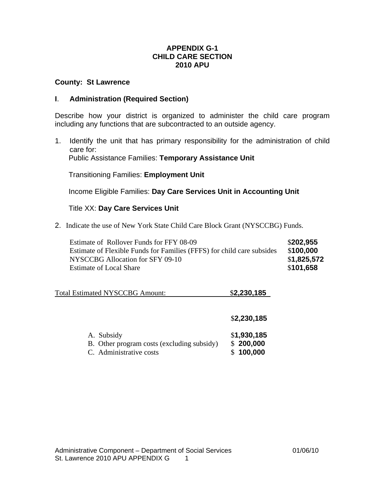# **APPENDIX G-1 CHILD CARE SECTION 2010 APU**

# **County: St Lawrence**

## **I**. **Administration (Required Section)**

Describe how your district is organized to administer the child care program including any functions that are subcontracted to an outside agency.

1. Identify the unit that has primary responsibility for the administration of child care for: Public Assistance Families: **Temporary Assistance Unit**

Transitioning Families: **Employment Unit**

Income Eligible Families: **Day Care Services Unit in Accounting Unit**

# Title XX: **Day Care Services Unit**

2. Indicate the use of New York State Child Care Block Grant (NYSCCBG) Funds.

| Estimate of Rollover Funds for FFY 08-09<br>Estimate of Flexible Funds for Families (FFFS) for child care subsides | \$202,955<br>\$100,000 |
|--------------------------------------------------------------------------------------------------------------------|------------------------|
| NYSCCBG Allocation for SFY 09-10                                                                                   | \$1,825,572            |
| <b>Estimate of Local Share</b>                                                                                     | \$101,658              |

| <b>Total Estimated NYSCCBG Amount:</b> | \$2,230,185 |
|----------------------------------------|-------------|
|----------------------------------------|-------------|

|                                            | \$2,230,185 |
|--------------------------------------------|-------------|
| A. Subsidy                                 | \$1,930,185 |
| B. Other program costs (excluding subsidy) | \$200,000   |
| C. Administrative costs                    | \$100,000   |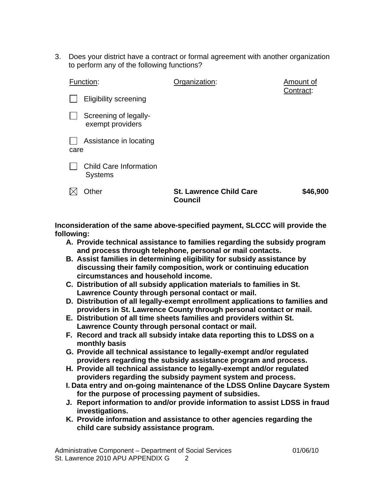3. Does your district have a contract or formal agreement with another organization to perform any of the following functions?

|      | Function:                                       | Organization:                                    | Amount of<br>Contract: |
|------|-------------------------------------------------|--------------------------------------------------|------------------------|
|      | <b>Eligibility screening</b>                    |                                                  |                        |
|      | Screening of legally-<br>exempt providers       |                                                  |                        |
| care | Assistance in locating                          |                                                  |                        |
|      | <b>Child Care Information</b><br><b>Systems</b> |                                                  |                        |
|      | Other                                           | <b>St. Lawrence Child Care</b><br><b>Council</b> | \$46,900               |

**Inconsideration of the same above-specified payment, SLCCC will provide the following:** 

- **A. Provide technical assistance to families regarding the subsidy program and process through telephone, personal or mail contacts.**
- **B. Assist families in determining eligibility for subsidy assistance by discussing their family composition, work or continuing education circumstances and household income.**
- **C. Distribution of all subsidy application materials to families in St. Lawrence County through personal contact or mail.**
- **D. Distribution of all legally-exempt enrollment applications to families and providers in St. Lawrence County through personal contact or mail.**
- **E. Distribution of all time sheets families and providers within St. Lawrence County through personal contact or mail.**
- **F. Record and track all subsidy intake data reporting this to LDSS on a monthly basis**
- **G. Provide all technical assistance to legally-exempt and/or regulated providers regarding the subsidy assistance program and process.**
- **H. Provide all technical assistance to legally-exempt and/or regulated providers regarding the subsidy payment system and process.**
- **I. Data entry and on-going maintenance of the LDSS Online Daycare System for the purpose of processing payment of subsidies.**
- **J. Report information to and/or provide information to assist LDSS in fraud investigations.**
- **K. Provide information and assistance to other agencies regarding the child care subsidy assistance program.**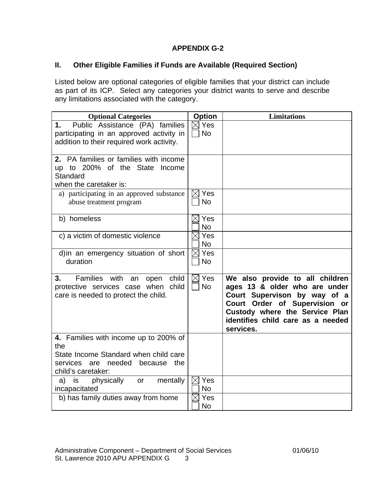# **APPENDIX G-2**

# **II. Other Eligible Families if Funds are Available (Required Section)**

Listed below are optional categories of eligible families that your district can include as part of its ICP. Select any categories your district wants to serve and describe any limitations associated with the category.

| <b>Optional Categories</b>                                                                                                                        | <b>Option</b>                | <b>Limitations</b>                                                                                                                                                                                                    |
|---------------------------------------------------------------------------------------------------------------------------------------------------|------------------------------|-----------------------------------------------------------------------------------------------------------------------------------------------------------------------------------------------------------------------|
| Public Assistance (PA) families<br>1.<br>participating in an approved activity in<br>addition to their required work activity.                    | $\boxtimes$ Yes<br><b>No</b> |                                                                                                                                                                                                                       |
| 2. PA families or families with income<br>up to 200% of the State Income<br>Standard<br>when the caretaker is:                                    |                              |                                                                                                                                                                                                                       |
| a) participating in an approved substance<br>abuse treatment program                                                                              | Yes<br><b>No</b>             |                                                                                                                                                                                                                       |
| b) homeless                                                                                                                                       | $\boxtimes$ Yes<br><b>No</b> |                                                                                                                                                                                                                       |
| c) a victim of domestic violence                                                                                                                  | Yes<br><b>No</b>             |                                                                                                                                                                                                                       |
| d) in an emergency situation of short<br>duration                                                                                                 | $\boxtimes$ Yes<br><b>No</b> |                                                                                                                                                                                                                       |
| child<br>Families with<br>3.<br>an<br>open<br>protective services case when child<br>care is needed to protect the child.                         | $\boxtimes$ Yes<br><b>No</b> | We also provide to all children<br>ages 13 & older who are under<br>Court Supervison by way of a<br>Court Order of Supervision or<br>Custody where the Service Plan<br>identifies child care as a needed<br>services. |
| 4. Families with income up to 200% of<br>the<br>State Income Standard when child care<br>services are needed because<br>the<br>child's caretaker: |                              |                                                                                                                                                                                                                       |
| physically<br>mentally<br>is<br>a)<br>or<br>incapacitated                                                                                         | $\boxtimes$ Yes<br><b>No</b> |                                                                                                                                                                                                                       |
| b) has family duties away from home                                                                                                               | Yes<br><b>No</b>             |                                                                                                                                                                                                                       |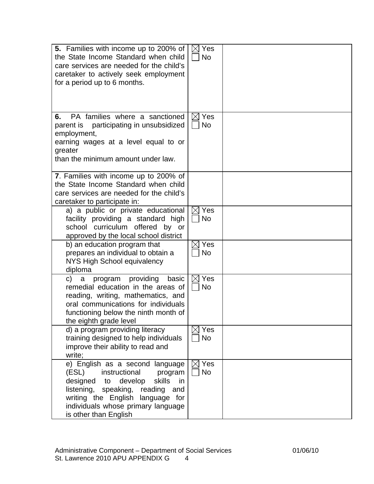| <b>5.</b> Families with income up to 200% of<br>the State Income Standard when child<br>care services are needed for the child's<br>caretaker to actively seek employment<br>for a period up to 6 months.                                                   | $\boxtimes$ Yes<br><b>No</b> |  |
|-------------------------------------------------------------------------------------------------------------------------------------------------------------------------------------------------------------------------------------------------------------|------------------------------|--|
| PA families where a sanctioned<br>6.<br>parent is participating in unsubsidized<br>employment,<br>earning wages at a level equal to or<br>greater<br>than the minimum amount under law.                                                                     | $\boxtimes$ Yes<br><b>No</b> |  |
| 7. Families with income up to 200% of<br>the State Income Standard when child<br>care services are needed for the child's<br>caretaker to participate in:                                                                                                   |                              |  |
| a) a public or private educational<br>facility providing a standard high<br>school curriculum offered by or<br>approved by the local school district                                                                                                        | $\boxtimes$ Yes<br><b>No</b> |  |
| b) an education program that<br>prepares an individual to obtain a<br>NYS High School equivalency<br>diploma                                                                                                                                                | Yes<br><b>No</b>             |  |
| providing<br>basic<br>program<br>C)<br>a<br>remedial education in the areas of<br>reading, writing, mathematics, and<br>oral communications for individuals<br>functioning below the ninth month of<br>the eighth grade level                               | Yes<br>IXI<br><b>No</b>      |  |
| d) a program providing literacy<br>training designed to help individuals<br>improve their ability to read and<br>write;                                                                                                                                     | $\boxtimes$ Yes<br><b>No</b> |  |
| e) English as a second language<br>(ESL)<br>instructional<br>program<br>designed<br>develop<br>skills<br>in<br>to<br>listening, speaking, reading<br>and<br>writing the English language for<br>individuals whose primary language<br>is other than English | Yes<br><b>No</b>             |  |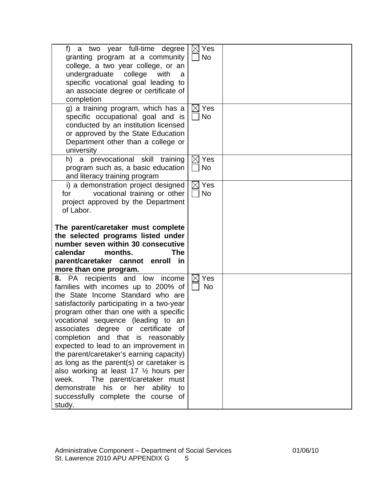| f) a two year full-time degree<br>granting program at a community<br>college, a two year college, or an                                                                                                                                                                                                                                                                                                                                                                                                                                                                                                                                                   | $\boxtimes$ Yes<br>No        |  |
|-----------------------------------------------------------------------------------------------------------------------------------------------------------------------------------------------------------------------------------------------------------------------------------------------------------------------------------------------------------------------------------------------------------------------------------------------------------------------------------------------------------------------------------------------------------------------------------------------------------------------------------------------------------|------------------------------|--|
| undergraduate college<br>with<br>a<br>specific vocational goal leading to<br>an associate degree or certificate of                                                                                                                                                                                                                                                                                                                                                                                                                                                                                                                                        |                              |  |
| completion                                                                                                                                                                                                                                                                                                                                                                                                                                                                                                                                                                                                                                                |                              |  |
| g) a training program, which has a<br>specific occupational goal and is<br>conducted by an institution licensed<br>or approved by the State Education<br>Department other than a college or<br>university                                                                                                                                                                                                                                                                                                                                                                                                                                                 | $\boxtimes$ Yes<br>No        |  |
| h) a prevocational skill training<br>program such as, a basic education<br>and literacy training program                                                                                                                                                                                                                                                                                                                                                                                                                                                                                                                                                  | $\boxtimes$ Yes<br><b>No</b> |  |
| i) a demonstration project designed<br>vocational training or other<br>for<br>project approved by the Department<br>of Labor.                                                                                                                                                                                                                                                                                                                                                                                                                                                                                                                             | $\boxtimes$ Yes<br>$\Box$ No |  |
| The parent/caretaker must complete<br>the selected programs listed under<br>number seven within 30 consecutive<br>calendar<br>months.<br><b>The</b>                                                                                                                                                                                                                                                                                                                                                                                                                                                                                                       |                              |  |
| parent/caretaker cannot enroll in                                                                                                                                                                                                                                                                                                                                                                                                                                                                                                                                                                                                                         |                              |  |
| more than one program.<br>8. PA recipients and low<br>income<br>families with incomes up to 200% of<br>the State Income Standard who are<br>satisfactorily participating in a two-year<br>program other than one with a specific<br>vocational sequence (leading to an<br>associates degree or certificate of<br>completion and that is reasonably<br>expected to lead to an improvement in<br>the parent/caretaker's earning capacity)<br>as long as the parent(s) or caretaker is<br>also working at least 17 1/2 hours per<br>week.<br>The parent/caretaker must<br>demonstrate his or her ability to<br>successfully complete the course of<br>study. | $\boxtimes$ Yes<br><b>No</b> |  |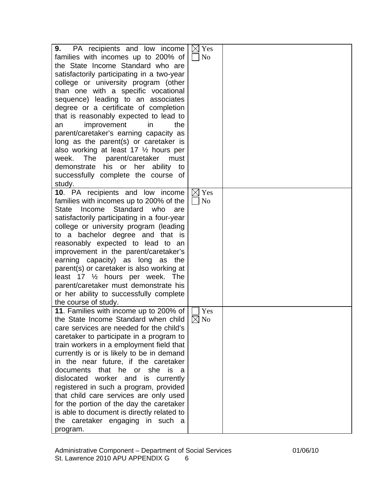| PA recipients and low income<br>9.          | $\boxtimes$ Yes |  |
|---------------------------------------------|-----------------|--|
| families with incomes up to 200% of         | N <sub>o</sub>  |  |
| the State Income Standard who are           |                 |  |
| satisfactorily participating in a two-year  |                 |  |
| college or university program (other        |                 |  |
| than one with a specific vocational         |                 |  |
| sequence) leading to an associates          |                 |  |
| degree or a certificate of completion       |                 |  |
| that is reasonably expected to lead to      |                 |  |
|                                             |                 |  |
| improvement<br>in<br>the<br>an              |                 |  |
| parent/caretaker's earning capacity as      |                 |  |
| long as the parent(s) or caretaker is       |                 |  |
| also working at least 17 1/2 hours per      |                 |  |
| week. The parent/caretaker<br>must          |                 |  |
| demonstrate his or<br>her<br>ability<br>to  |                 |  |
| successfully complete the course of         |                 |  |
| study.                                      |                 |  |
| 10. PA recipients and low income            | $\boxtimes$ Yes |  |
| families with incomes up to 200% of the     | No              |  |
| Standard who<br>Income<br>State<br>are      |                 |  |
| satisfactorily participating in a four-year |                 |  |
| college or university program (leading      |                 |  |
| to a bachelor degree and that is            |                 |  |
| reasonably expected to lead to an           |                 |  |
| improvement in the parent/caretaker's       |                 |  |
|                                             |                 |  |
| earning capacity) as long as the            |                 |  |
| parent(s) or caretaker is also working at   |                 |  |
| least 17 $\frac{1}{2}$ hours per week. The  |                 |  |
| parent/caretaker must demonstrate his       |                 |  |
| or her ability to successfully complete     |                 |  |
| the course of study.                        |                 |  |
| 11. Families with income up to 200% of      | Yes             |  |
| the State Income Standard when child        | $\boxtimes$ No  |  |
| care services are needed for the child's    |                 |  |
| caretaker to participate in a program to    |                 |  |
| train workers in a employment field that    |                 |  |
| currently is or is likely to be in demand   |                 |  |
| in the near future, if the caretaker        |                 |  |
| documents that he or she is<br>- a          |                 |  |
| dislocated worker and is currently          |                 |  |
| registered in such a program, provided      |                 |  |
| that child care services are only used      |                 |  |
| for the portion of the day the caretaker    |                 |  |
| is able to document is directly related to  |                 |  |
|                                             |                 |  |
| the caretaker engaging in such a            |                 |  |
| program.                                    |                 |  |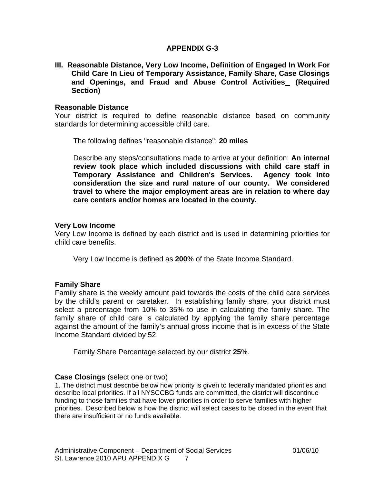## **APPENDIX G-3**

**III. Reasonable Distance, Very Low Income, Definition of Engaged In Work For Child Care In Lieu of Temporary Assistance, Family Share, Case Closings and Openings, and Fraud and Abuse Control Activities (Required Section)** 

### **Reasonable Distance**

Your district is required to define reasonable distance based on community standards for determining accessible child care.

The following defines "reasonable distance": **20 miles**

 Describe any steps/consultations made to arrive at your definition: **An internal review took place which included discussions with child care staff in Temporary Assistance and Children's Services. Agency took into consideration the size and rural nature of our county. We considered travel to where the major employment areas are in relation to where day care centers and/or homes are located in the county.**

#### **Very Low Income**

Very Low Income is defined by each district and is used in determining priorities for child care benefits.

Very Low Income is defined as **200**% of the State Income Standard.

## **Family Share**

Family share is the weekly amount paid towards the costs of the child care services by the child's parent or caretaker. In establishing family share, your district must select a percentage from 10% to 35% to use in calculating the family share. The family share of child care is calculated by applying the family share percentage against the amount of the family's annual gross income that is in excess of the State Income Standard divided by 52.

Family Share Percentage selected by our district **25**%.

## **Case Closings** (select one or two)

1. The district must describe below how priority is given to federally mandated priorities and describe local priorities. If all NYSCCBG funds are committed, the district will discontinue funding to those families that have lower priorities in order to serve families with higher priorities. Described below is how the district will select cases to be closed in the event that there are insufficient or no funds available.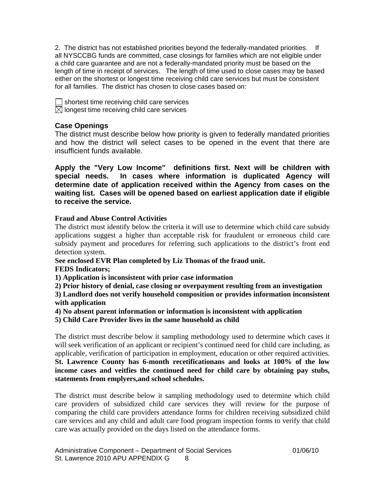2. The district has not established priorities beyond the federally-mandated priorities. If all NYSCCBG funds are committed, case closings for families which are not eligible under a child care guarantee and are not a federally-mandated priority must be based on the length of time in receipt of services. The length of time used to close cases may be based either on the shortest or longest time receiving child care services but must be consistent for all families. The district has chosen to close cases based on:

 $\Box$  shortest time receiving child care services  $\boxtimes$  longest time receiving child care services

# **Case Openings**

The district must describe below how priority is given to federally mandated priorities and how the district will select cases to be opened in the event that there are insufficient funds available.

**Apply the "Very Low Income" definitions first. Next will be children with special needs. In cases where information is duplicated Agency will determine date of application received within the Agency from cases on the waiting list. Cases will be opened based on earliest application date if eligible to receive the service.** 

# **Fraud and Abuse Control Activities**

The district must identify below the criteria it will use to determine which child care subsidy applications suggest a higher than acceptable risk for fraudulent or erroneous child care subsidy payment and procedures for referring such applications to the district's front end detection system.

**See enclosed EVR Plan completed by Liz Thomas of the fraud unit.** 

# **FEDS Indicators;**

**1) Application is inconsistent with prior case information** 

**2) Prior history of denial, case closing or overpayment resulting from an investigation** 

**3) Landlord does not verify household composition or provides information inconsistent with application** 

**4) No absent parent information or information is inconsistent with application** 

**5) Child Care Provider lives in the same household as child** 

The district must describe below it sampling methodology used to determine which cases it will seek verification of an applicant or recipient's continued need for child care including, as applicable, verification of participation in employment, education or other required activities. **St. Lawrence County has 6-month recetificationans and looks at 100% of the low income cases and veitfies the continued need for child care by obtaining pay stubs, statements from emplyers,and school schedules.** 

The district must describe below it sampling methodology used to determine which child care providers of subsidized child care services they will review for the purpose of comparing the child care providers attendance forms for children receiving subsidized child care services and any child and adult care food program inspection forms to verify that child care was actually provided on the days listed on the attendance forms.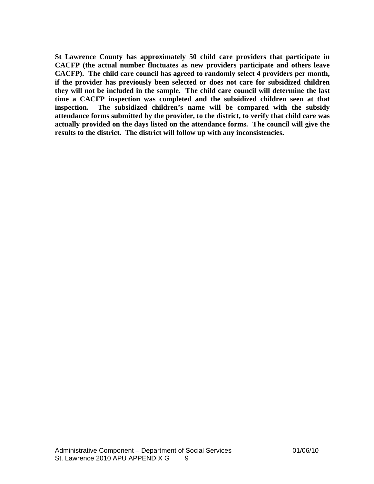**St Lawrence County has approximately 50 child care providers that participate in CACFP (the actual number fluctuates as new providers participate and others leave CACFP). The child care council has agreed to randomly select 4 providers per month, if the provider has previously been selected or does not care for subsidized children they will not be included in the sample. The child care council will determine the last time a CACFP inspection was completed and the subsidized children seen at that inspection. The subsidized children's name will be compared with the subsidy attendance forms submitted by the provider, to the district, to verify that child care was actually provided on the days listed on the attendance forms. The council will give the results to the district. The district will follow up with any inconsistencies.**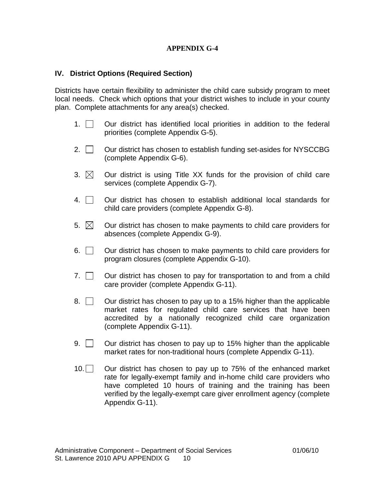# **APPENDIX G-4**

## **IV. District Options (Required Section)**

Districts have certain flexibility to administer the child care subsidy program to meet local needs. Check which options that your district wishes to include in your county plan. Complete attachments for any area(s) checked.

- 1.  $\Box$  Our district has identified local priorities in addition to the federal priorities (complete Appendix G-5).
- 2.  $\vert$   $\vert$  Our district has chosen to establish funding set-asides for NYSCCBG (complete Appendix G-6).
- 3.  $\boxtimes$  Our district is using Title XX funds for the provision of child care services (complete Appendix G-7).
- $4.$   $\Box$  Our district has chosen to establish additional local standards for child care providers (complete Appendix G-8).
- 5.  $\boxtimes$  Our district has chosen to make payments to child care providers for absences (complete Appendix G-9).
- $6.$   $\Box$  Our district has chosen to make payments to child care providers for program closures (complete Appendix G-10).
- 7.  $\Box$  Our district has chosen to pay for transportation to and from a child care provider (complete Appendix G-11).
- 8.  $\Box$  Our district has chosen to pay up to a 15% higher than the applicable market rates for regulated child care services that have been accredited by a nationally recognized child care organization (complete Appendix G-11).
- 9.  $\vert$   $\vert$  Our district has chosen to pay up to 15% higher than the applicable market rates for non-traditional hours (complete Appendix G-11).
- $10.$  Our district has chosen to pay up to 75% of the enhanced market rate for legally-exempt family and in-home child care providers who have completed 10 hours of training and the training has been verified by the legally-exempt care giver enrollment agency (complete Appendix G-11).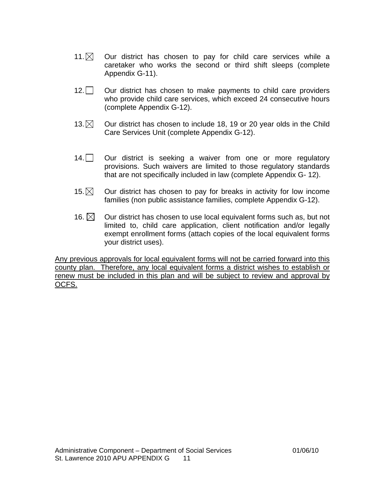- 11. $\times$  Our district has chosen to pay for child care services while a caretaker who works the second or third shift sleeps (complete Appendix G-11).
- 12. Our district has chosen to make payments to child care providers who provide child care services, which exceed 24 consecutive hours (complete Appendix G-12).
- 13.  $\boxtimes$  Our district has chosen to include 18, 19 or 20 year olds in the Child Care Services Unit (complete Appendix G-12).
- $14.$  Our district is seeking a waiver from one or more regulatory provisions. Such waivers are limited to those regulatory standards that are not specifically included in law (complete Appendix G- 12).
- 15.  $\boxtimes$  Our district has chosen to pay for breaks in activity for low income families (non public assistance families, complete Appendix G-12).
- 16.  $\boxtimes$  Our district has chosen to use local equivalent forms such as, but not limited to, child care application, client notification and/or legally exempt enrollment forms (attach copies of the local equivalent forms your district uses).

Any previous approvals for local equivalent forms will not be carried forward into this county plan. Therefore, any local equivalent forms a district wishes to establish or renew must be included in this plan and will be subject to review and approval by OCFS.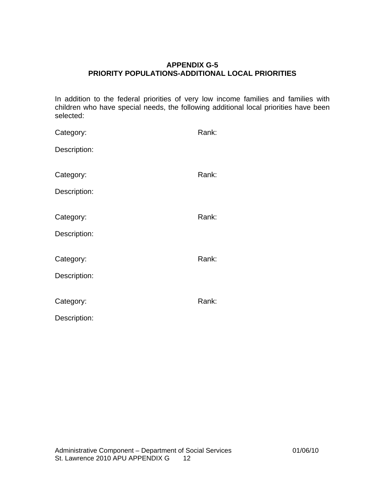# **APPENDIX G-5 PRIORITY POPULATIONS-ADDITIONAL LOCAL PRIORITIES**

In addition to the federal priorities of very low income families and families with children who have special needs, the following additional local priorities have been selected:

| Category:    | Rank: |
|--------------|-------|
| Description: |       |
|              |       |
| Category:    | Rank: |
| Description: |       |
|              |       |
| Category:    | Rank: |
| Description: |       |
|              |       |
| Category:    | Rank: |
| Description: |       |
|              |       |
| Category:    | Rank: |
| Description: |       |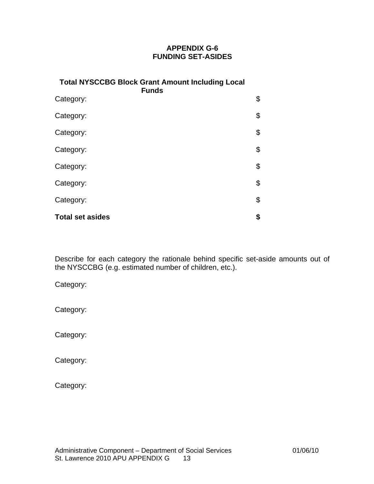# **APPENDIX G-6 FUNDING SET-ASIDES**

| <b>Total NYSCCBG Block Grant Amount Including Local</b><br><b>Funds</b> |    |
|-------------------------------------------------------------------------|----|
| Category:                                                               | \$ |
| Category:                                                               | \$ |
| Category:                                                               | \$ |
| Category:                                                               | \$ |
| Category:                                                               | \$ |
| Category:                                                               | \$ |
| Category:                                                               | \$ |
| <b>Total set asides</b>                                                 | \$ |

Describe for each category the rationale behind specific set-aside amounts out of the NYSCCBG (e.g. estimated number of children, etc.).

Category:

Category:

Category:

Category:

Category: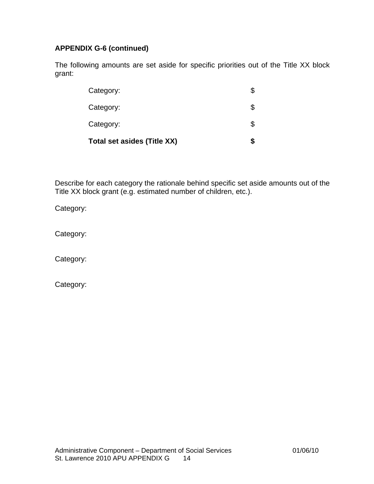# **APPENDIX G-6 (continued)**

The following amounts are set aside for specific priorities out of the Title XX block grant:

| <b>Total set asides (Title XX)</b> |    |
|------------------------------------|----|
| Category:                          | \$ |
| Category:                          |    |
| Category:                          | \$ |

Describe for each category the rationale behind specific set aside amounts out of the Title XX block grant (e.g. estimated number of children, etc.).

Category:

Category:

Category:

Category: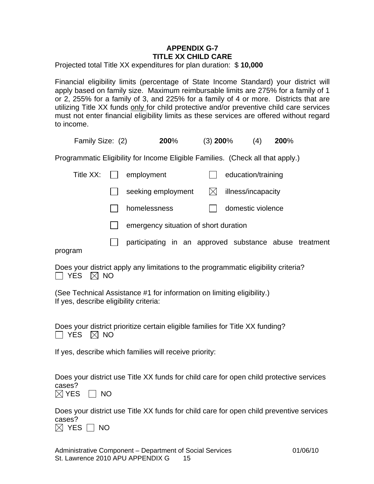# **APPENDIX G-7 TITLE XX CHILD CARE**

Projected total Title XX expenditures for plan duration: \$ **10,000**

Financial eligibility limits (percentage of State Income Standard) your district will apply based on family size. Maximum reimbursable limits are 275% for a family of 1 or 2, 255% for a family of 3, and 225% for a family of 4 or more. Districts that are utilizing Title XX funds only for child protective and/or preventive child care services must not enter financial eligibility limits as these services are offered without regard to income.

| Family Size: (2)                                                               | 200% | $(3)$ 200% | (4) | <b>200%</b> |
|--------------------------------------------------------------------------------|------|------------|-----|-------------|
| Programmatic Eligibility for Income Eligible Families. (Check all that apply.) |      |            |     |             |

| Title $XX:$ $  $ | employment                                             |   | education/training |  |
|------------------|--------------------------------------------------------|---|--------------------|--|
|                  | seeking employment                                     | M | illness/incapacity |  |
|                  | homelessness                                           |   | domestic violence  |  |
|                  | emergency situation of short duration                  |   |                    |  |
| program          | participating in an approved substance abuse treatment |   |                    |  |

Does your district apply any limitations to the programmatic eligibility criteria?  $\Box$  YES  $\boxtimes$  NO

(See Technical Assistance #1 for information on limiting eligibility.) If yes, describe eligibility criteria:

Does your district prioritize certain eligible families for Title XX funding?  $\Box$  YES  $\boxtimes$  NO

If yes, describe which families will receive priority:

Does your district use Title XX funds for child care for open child protective services cases?

 $\boxtimes$  YES  $\Box$  NO

Does your district use Title XX funds for child care for open child preventive services cases?

 $\boxtimes$  YES  $\Box$  NO

Administrative Component – Department of Social Services 01/06/10 St. Lawrence 2010 APU APPENDIX G 15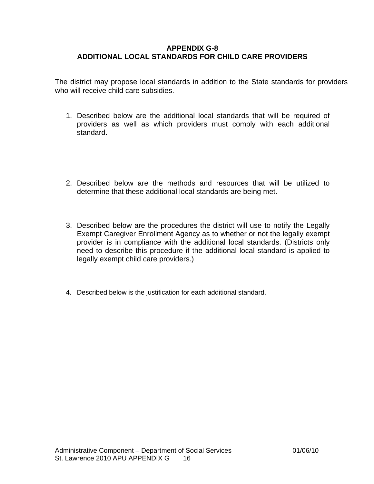## **APPENDIX G-8 ADDITIONAL LOCAL STANDARDS FOR CHILD CARE PROVIDERS**

The district may propose local standards in addition to the State standards for providers who will receive child care subsidies.

- 1. Described below are the additional local standards that will be required of providers as well as which providers must comply with each additional standard.
- 2. Described below are the methods and resources that will be utilized to determine that these additional local standards are being met.
- 3. Described below are the procedures the district will use to notify the Legally Exempt Caregiver Enrollment Agency as to whether or not the legally exempt provider is in compliance with the additional local standards. (Districts only need to describe this procedure if the additional local standard is applied to legally exempt child care providers.)
- 4. Described below is the justification for each additional standard.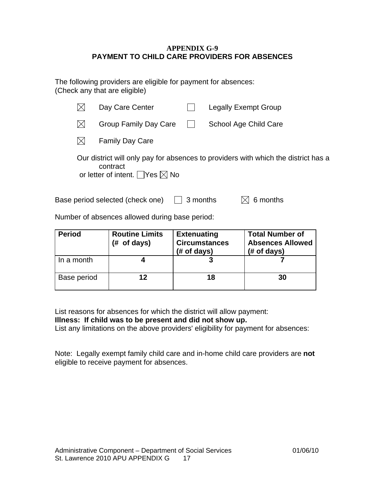## **APPENDIX G-9 PAYMENT TO CHILD CARE PROVIDERS FOR ABSENCES**

The following providers are eligible for payment for absences: (Check any that are eligible)

|     | Day Care Center                                            |              | Legally Exempt Group                                                               |
|-----|------------------------------------------------------------|--------------|------------------------------------------------------------------------------------|
| IXI | Group Family Day Care                                      | $\mathbf{I}$ | School Age Child Care                                                              |
|     | <b>Family Day Care</b>                                     |              |                                                                                    |
|     | contract<br>or letter of intent. $\Box$ Yes $\boxtimes$ No |              | Our district will only pay for absences to providers with which the district has a |

Base period selected (check one)  $\Box$  3 months  $\Box$  6 months

Number of absences allowed during base period:

| <b>Period</b> | <b>Routine Limits</b><br>of days)<br>(# | <b>Extenuating</b><br><b>Circumstances</b><br>$#$ of days) | <b>Total Number of</b><br><b>Absences Allowed</b><br>$#$ of days) |
|---------------|-----------------------------------------|------------------------------------------------------------|-------------------------------------------------------------------|
| In a month    |                                         |                                                            |                                                                   |
| Base period   | 12                                      | 18                                                         | 30                                                                |

List reasons for absences for which the district will allow payment:

**Illness: If child was to be present and did not show up.** 

List any limitations on the above providers' eligibility for payment for absences:

Note: Legally exempt family child care and in-home child care providers are **not**  eligible to receive payment for absences.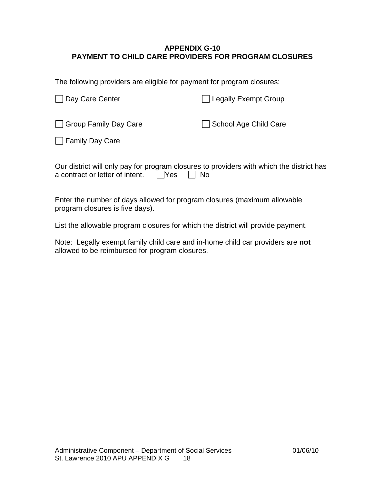# **APPENDIX G-10 PAYMENT TO CHILD CARE PROVIDERS FOR PROGRAM CLOSURES**

The following providers are eligible for payment for program closures:

| Day Care Center       | <b>Legally Exempt Group</b> |
|-----------------------|-----------------------------|
| Group Family Day Care | School Age Child Care       |
| □ Family Day Care     |                             |

| Our district will only pay for program closures to providers with which the district has |  |  |
|------------------------------------------------------------------------------------------|--|--|
| a contract or letter of intent. $\Box$ Yes $\Box$ No                                     |  |  |

Enter the number of days allowed for program closures (maximum allowable program closures is five days).

List the allowable program closures for which the district will provide payment.

Note: Legally exempt family child care and in-home child car providers are **not** allowed to be reimbursed for program closures.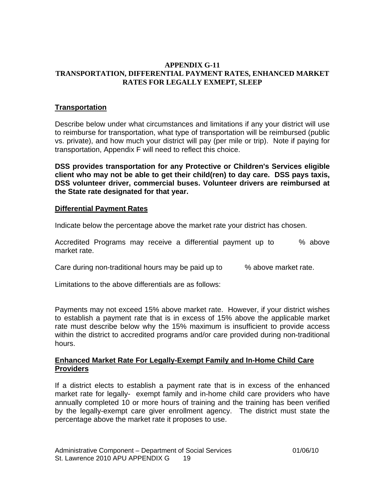### **APPENDIX G-11 TRANSPORTATION, DIFFERENTIAL PAYMENT RATES, ENHANCED MARKET RATES FOR LEGALLY EXMEPT, SLEEP**

## **Transportation**

Describe below under what circumstances and limitations if any your district will use to reimburse for transportation, what type of transportation will be reimbursed (public vs. private), and how much your district will pay (per mile or trip). Note if paying for transportation, Appendix F will need to reflect this choice.

**DSS provides transportation for any Protective or Children's Services eligible client who may not be able to get their child(ren) to day care. DSS pays taxis, DSS volunteer driver, commercial buses. Volunteer drivers are reimbursed at the State rate designated for that year.** 

## **Differential Payment Rates**

Indicate below the percentage above the market rate your district has chosen.

Accredited Programs may receive a differential payment up to % above market rate.

Care during non-traditional hours may be paid up to  $\sim$  % above market rate.

Limitations to the above differentials are as follows:

Payments may not exceed 15% above market rate. However, if your district wishes to establish a payment rate that is in excess of 15% above the applicable market rate must describe below why the 15% maximum is insufficient to provide access within the district to accredited programs and/or care provided during non-traditional hours.

### **Enhanced Market Rate For Legally-Exempt Family and In-Home Child Care Providers**

If a district elects to establish a payment rate that is in excess of the enhanced market rate for legally- exempt family and in-home child care providers who have annually completed 10 or more hours of training and the training has been verified by the legally-exempt care giver enrollment agency. The district must state the percentage above the market rate it proposes to use.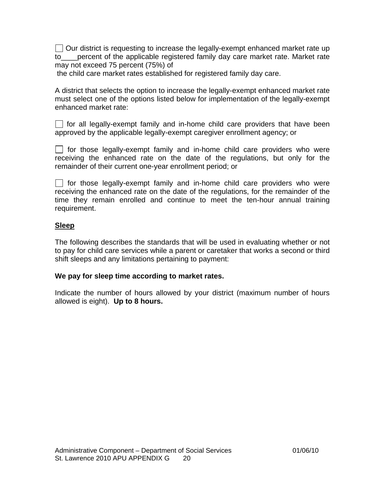$\vert\ \vert$  Our district is requesting to increase the legally-exempt enhanced market rate up to\_\_\_\_percent of the applicable registered family day care market rate. Market rate may not exceed 75 percent (75%) of

the child care market rates established for registered family day care.

A district that selects the option to increase the legally-exempt enhanced market rate must select one of the options listed below for implementation of the legally-exempt enhanced market rate:

 $\Box$  for all legally-exempt family and in-home child care providers that have been approved by the applicable legally-exempt caregiver enrollment agency; or

 $\Box$  for those legally-exempt family and in-home child care providers who were receiving the enhanced rate on the date of the regulations, but only for the remainder of their current one-year enrollment period; or

 for those legally-exempt family and in-home child care providers who were receiving the enhanced rate on the date of the regulations, for the remainder of the time they remain enrolled and continue to meet the ten-hour annual training requirement.

# **Sleep**

The following describes the standards that will be used in evaluating whether or not to pay for child care services while a parent or caretaker that works a second or third shift sleeps and any limitations pertaining to payment:

## **We pay for sleep time according to market rates.**

Indicate the number of hours allowed by your district (maximum number of hours allowed is eight). **Up to 8 hours.**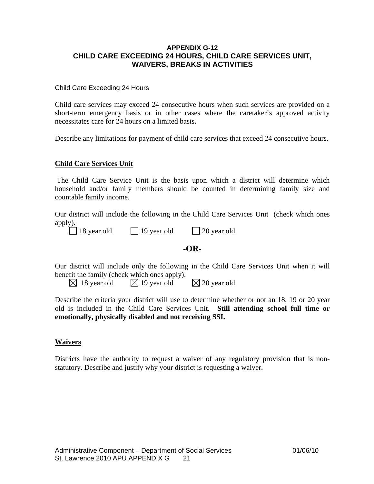#### **APPENDIX G-12 CHILD CARE EXCEEDING 24 HOURS, CHILD CARE SERVICES UNIT, WAIVERS, BREAKS IN ACTIVITIES**

#### Child Care Exceeding 24 Hours

Child care services may exceed 24 consecutive hours when such services are provided on a short-term emergency basis or in other cases where the caretaker's approved activity necessitates care for 24 hours on a limited basis.

Describe any limitations for payment of child care services that exceed 24 consecutive hours.

#### **Child Care Services Unit**

 The Child Care Service Unit is the basis upon which a district will determine which household and/or family members should be counted in determining family size and countable family income.

Our district will include the following in the Child Care Services Unit (check which ones apply).

| $\Box$ 18 year old | $\Box$ 19 year old | $\Box$ 20 year old |
|--------------------|--------------------|--------------------|
|--------------------|--------------------|--------------------|

#### **-OR-**

Our district will include only the following in the Child Care Services Unit when it will benefit the family (check which ones apply).

 $\boxtimes$  18 year old  $\boxtimes$  19 year old  $\boxtimes$  20 year old

Describe the criteria your district will use to determine whether or not an 18, 19 or 20 year old is included in the Child Care Services Unit. **Still attending school full time or emotionally, physically disabled and not receiving SSI.**

#### **Waivers**

Districts have the authority to request a waiver of any regulatory provision that is nonstatutory. Describe and justify why your district is requesting a waiver.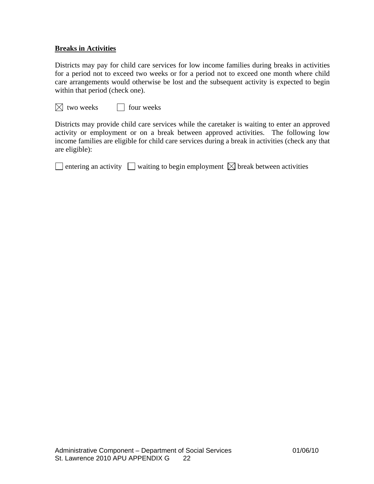### **Breaks in Activities**

Districts may pay for child care services for low income families during breaks in activities for a period not to exceed two weeks or for a period not to exceed one month where child care arrangements would otherwise be lost and the subsequent activity is expected to begin within that period (check one).

 $\boxtimes$  two weeks  $\Box$  four weeks

Districts may provide child care services while the caretaker is waiting to enter an approved activity or employment or on a break between approved activities. The following low income families are eligible for child care services during a break in activities (check any that are eligible):

 $\Box$  entering an activity  $\Box$  waiting to begin employment  $\boxtimes$  break between activities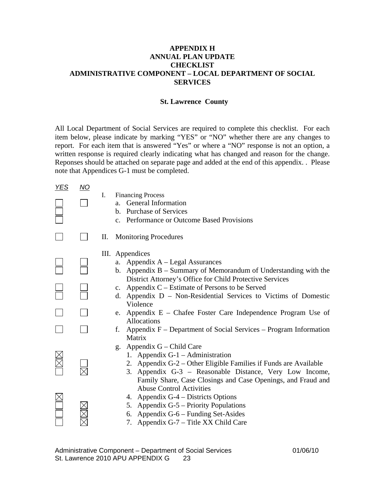### **APPENDIX H ANNUAL PLAN UPDATE CHECKLIST ADMINISTRATIVE COMPONENT – LOCAL DEPARTMENT OF SOCIAL SERVICES**

#### **St. Lawrence County**

All Local Department of Social Services are required to complete this checklist. For each item below, please indicate by marking "YES" or "NO" whether there are any changes to report. For each item that is answered "Yes" or where a "NO" response is not an option, a written response is required clearly indicating what has changed and reason for the change. Reponses should be attached on separate page and added at the end of this appendix. . Please note that Appendices G-1 must be completed.

| <b>YES</b> | <u>NO</u> |                                                                                                                                                                                                                                                                  |
|------------|-----------|------------------------------------------------------------------------------------------------------------------------------------------------------------------------------------------------------------------------------------------------------------------|
|            |           | <b>Financing Process</b><br>L.<br><b>General Information</b><br>a.<br>b. Purchase of Services<br>c. Performance or Outcome Based Provisions                                                                                                                      |
|            |           | <b>Monitoring Procedures</b><br>П.                                                                                                                                                                                                                               |
|            |           | III. Appendices<br>a. Appendix $A - Legal Assurances$<br>b. Appendix $B -$ Summary of Memorandum of Understanding with the<br>District Attorney's Office for Child Protective Services                                                                           |
|            |           | Appendix C – Estimate of Persons to be Served<br>$\mathbf{c}$ .<br>Appendix D – Non-Residential Services to Victims of Domestic<br>d.<br>Violence                                                                                                                |
|            |           | e. Appendix $E$ – Chafee Foster Care Independence Program Use of<br><b>Allocations</b>                                                                                                                                                                           |
|            |           | Appendix F – Department of Social Services – Program Information<br>f.<br>Matrix                                                                                                                                                                                 |
|            |           | Appendix G – Child Care<br>g.<br>1. Appendix G-1 – Administration<br>2. Appendix G-2 – Other Eligible Families if Funds are Available<br>3. Appendix G-3 - Reasonable Distance, Very Low Income,<br>Family Share, Case Closings and Case Openings, and Fraud and |
|            |           | <b>Abuse Control Activities</b><br>4. Appendix G-4 – Districts Options<br>Appendix G-5 – Priority Populations<br>5.<br>Appendix G-6 – Funding Set-Asides<br>6.<br>7. Appendix G-7 – Title XX Child Care                                                          |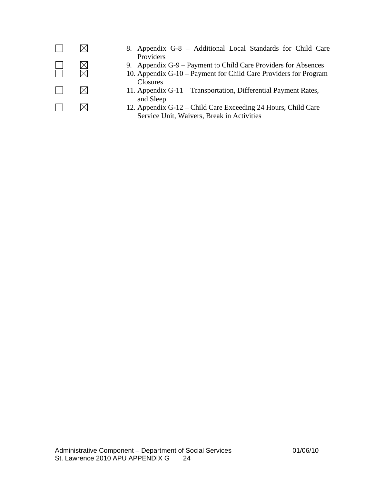

- $\boxtimes$  8. Appendix G-8 Additional Local Standards for Child Care Providers
- $\Box$  9. Appendix G-9 Payment to Child Care Providers for Absences<br>
10. Appendix G-10 Payment for Child Care Providers for Program
	- 10. Appendix G-10 Payment for Child Care Providers for Program Closures
	- $\boxtimes$  11. Appendix G-11 Transportation, Differential Payment Rates, and Sleep
	- $\boxtimes$  12. Appendix G-12 Child Care Exceeding 24 Hours, Child Care Service Unit, Waivers, Break in Activities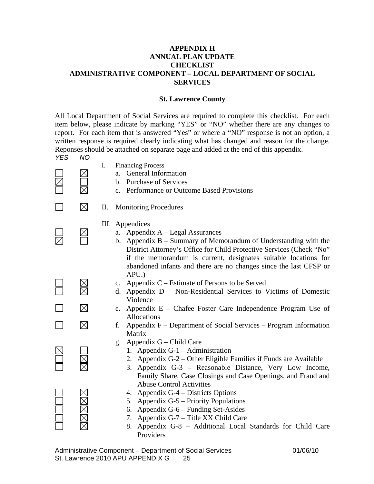#### **APPENDIX H ANNUAL PLAN UPDATE CHECKLIST ADMINISTRATIVE COMPONENT – LOCAL DEPARTMENT OF SOCIAL SERVICES**

#### **St. Lawrence County**

All Local Department of Social Services are required to complete this checklist. For each item below, please indicate by marking "YES" or "NO" whether there are any changes to report. For each item that is answered "Yes" or where a "NO" response is not an option, a written response is required clearly indicating what has changed and reason for the change. Reponses should be attached on separate page and added at the end of this appendix.

- *YES NO*
- I. Financing Process
- $\boxtimes$  a. General Information
	- b. Purchase of Services
	- c. Performance or Outcome Based Provisions
- 

 $\overline{\nabla}$ 

- $\boxtimes$  II. Monitoring Procedures
	- III. Appendices
- $\boxtimes$  a. Appendix A Legal Assurances
	- b. Appendix B Summary of Memorandum of Understanding with the District Attorney's Office for Child Protective Services (Check "No" if the memorandum is current, designates suitable locations for abandoned infants and there are no changes since the last CFSP or APU.)
- $\boxtimes$  c. Appendix C Estimate of Persons to be Served<br>  $\boxtimes$  d. Appendix D Non-Residential Services to V
	- d. Appendix D Non-Residential Services to Victims of Domestic Violence
- $\boxtimes$  e. Appendix E Chafee Foster Care Independence Program Use of Allocations
- $\Box$   $\boxtimes$  f. Appendix F Department of Social Services Program Information Matrix
	- g. Appendix G Child Care
		- 1. Appendix G-1 Administration
		- 2. Appendix G-2 Other Eligible Families if Funds are Available
		- 3. Appendix G-3 Reasonable Distance, Very Low Income, Family Share, Case Closings and Case Openings, and Fraud and Abuse Control Activities
		- 4. Appendix G-4 Districts Options
		- 5. Appendix G-5 Priority Populations
		- 6. Appendix G-6 Funding Set-Asides
		- 7. Appendix G-7 Title XX Child Care
		- 8. Appendix G-8 Additional Local Standards for Child Care Providers